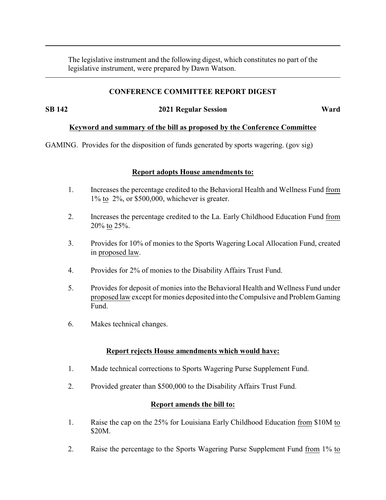The legislative instrument and the following digest, which constitutes no part of the legislative instrument, were prepared by Dawn Watson.

## **CONFERENCE COMMITTEE REPORT DIGEST**

**SB 142 2021 Regular Session Ward**

### **Keyword and summary of the bill as proposed by the Conference Committee**

GAMING. Provides for the disposition of funds generated by sports wagering. (gov sig)

### **Report adopts House amendments to:**

- 1. Increases the percentage credited to the Behavioral Health and Wellness Fund from 1% to 2%, or \$500,000, whichever is greater.
- 2. Increases the percentage credited to the La. Early Childhood Education Fund from 20% to 25%.
- 3. Provides for 10% of monies to the Sports Wagering Local Allocation Fund, created in proposed law.
- 4. Provides for 2% of monies to the Disability Affairs Trust Fund.
- 5. Provides for deposit of monies into the Behavioral Health and Wellness Fund under proposed law except for monies deposited into the Compulsive and Problem Gaming Fund.
- 6. Makes technical changes.

### **Report rejects House amendments which would have:**

- 1. Made technical corrections to Sports Wagering Purse Supplement Fund.
- 2. Provided greater than \$500,000 to the Disability Affairs Trust Fund.

### **Report amends the bill to:**

- 1. Raise the cap on the 25% for Louisiana Early Childhood Education from \$10M to \$20M.
- 2. Raise the percentage to the Sports Wagering Purse Supplement Fund from 1% to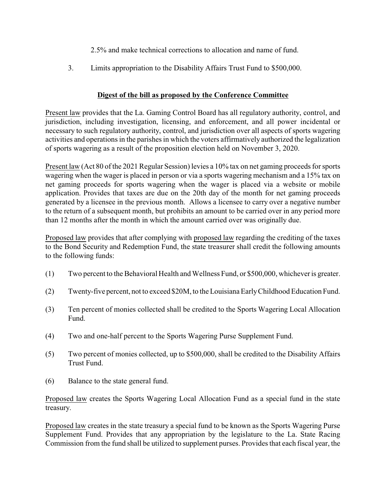- 2.5% and make technical corrections to allocation and name of fund.
- 3. Limits appropriation to the Disability Affairs Trust Fund to \$500,000.

# **Digest of the bill as proposed by the Conference Committee**

Present law provides that the La. Gaming Control Board has all regulatory authority, control, and jurisdiction, including investigation, licensing, and enforcement, and all power incidental or necessary to such regulatory authority, control, and jurisdiction over all aspects of sports wagering activities and operations in the parishes in which the voters affirmatively authorized the legalization of sports wagering as a result of the proposition election held on November 3, 2020.

Present law (Act 80 of the 2021 Regular Session) levies a 10% tax on net gaming proceeds for sports wagering when the wager is placed in person or via a sports wagering mechanism and a 15% tax on net gaming proceeds for sports wagering when the wager is placed via a website or mobile application. Provides that taxes are due on the 20th day of the month for net gaming proceeds generated by a licensee in the previous month. Allows a licensee to carry over a negative number to the return of a subsequent month, but prohibits an amount to be carried over in any period more than 12 months after the month in which the amount carried over was originally due.

Proposed law provides that after complying with proposed law regarding the crediting of the taxes to the Bond Security and Redemption Fund, the state treasurer shall credit the following amounts to the following funds:

- (1) Two percent to the Behavioral Health and Wellness Fund, or \$500,000, whichever is greater.
- (2) Twenty-five percent, not to exceed \$20M, to the Louisiana EarlyChildhood Education Fund.
- (3) Ten percent of monies collected shall be credited to the Sports Wagering Local Allocation Fund.
- (4) Two and one-half percent to the Sports Wagering Purse Supplement Fund.
- (5) Two percent of monies collected, up to \$500,000, shall be credited to the Disability Affairs Trust Fund.
- (6) Balance to the state general fund.

Proposed law creates the Sports Wagering Local Allocation Fund as a special fund in the state treasury.

Proposed law creates in the state treasury a special fund to be known as the Sports Wagering Purse Supplement Fund. Provides that any appropriation by the legislature to the La. State Racing Commission from the fund shall be utilized to supplement purses. Provides that each fiscal year, the